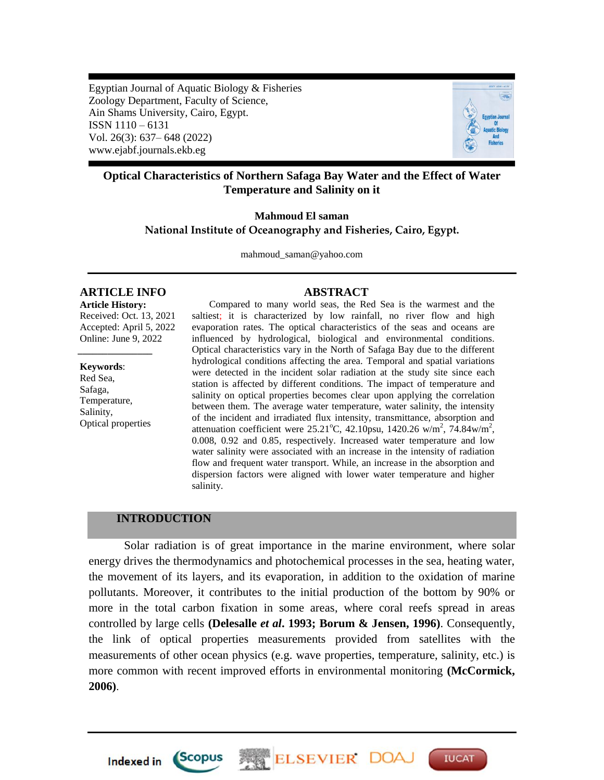Egyptian Journal of Aquatic Biology & Fisheries Zoology Department, Faculty of Science, Ain Shams University, Cairo, Egypt. ISSN 1110 – 6131 Vol. 26(3): 637– 648 (2022) www.ejabf.journals.ekb.eg



**IUCAT** 

## **Optical Characteristics of Northern Safaga Bay Water and the Effect of Water Temperature and Salinity on it**

## **Mahmoud El saman National Institute of Oceanography and Fisheries, Cairo, Egypt.**

mahmoud\_saman@yahoo.com

# **ARTICLE INFO ABSTRACT**

**Article History:** Received: Oct. 13, 2021 Accepted: April 5, 2022 Online: June 9, 2022

**Keywords**: Red Sea, Safaga, Temperature, Salinity, Optical properties

*\_\_\_\_\_\_\_\_\_\_\_\_\_\_\_*

 Compared to many world seas, the Red Sea is the warmest and the saltiest; it is characterized by low rainfall, no river flow and high evaporation rates. The optical characteristics of the seas and oceans are influenced by hydrological, biological and environmental conditions. Optical characteristics vary in the North of Safaga Bay due to the different hydrological conditions affecting the area. Temporal and spatial variations were detected in the incident solar radiation at the study site since each station is affected by different conditions. The impact of temperature and salinity on optical properties becomes clear upon applying the correlation between them. The average water temperature, water salinity, the intensity of the incident and irradiated flux intensity, transmittance, absorption and attenuation coefficient were  $25.21^{\circ}$ C, 42.10psu, 1420.26 w/m<sup>2</sup>, 74.84w/m<sup>2</sup>, 0.008, 0.92 and 0.85, respectively. Increased water temperature and low water salinity were associated with an increase in the intensity of radiation flow and frequent water transport. While, an increase in the absorption and dispersion factors were aligned with lower water temperature and higher salinity.

# **INTRODUCTION**

Solar radiation is of great importance in the marine environment, where solar energy drives the thermodynamics and photochemical processes in the sea, heating water, the movement of its layers, and its evaporation, in addition to the oxidation of marine pollutants. Moreover, it contributes to the initial production of the bottom by 90% or more in the total carbon fixation in some areas, where coral reefs spread in areas controlled by large cells **(Delesalle** *et al***. 1993; Borum & Jensen, 1996)**. Consequently, the link of optical properties measurements provided from satellites with the measurements of other ocean physics (e.g. wave properties, temperature, salinity, etc.) is more common with recent improved efforts in environmental monitoring **(McCormick, 2006)**.

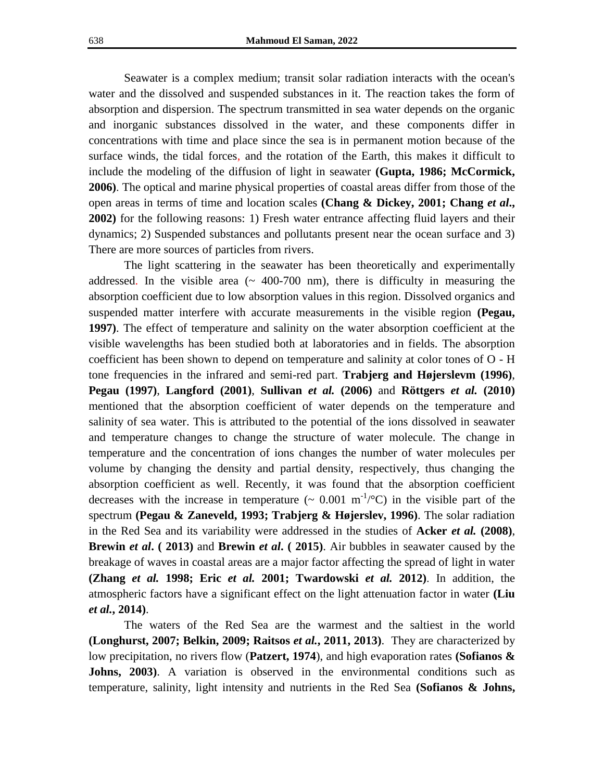Seawater is a complex medium; transit solar radiation interacts with the ocean's water and the dissolved and suspended substances in it. The reaction takes the form of absorption and dispersion. The spectrum transmitted in sea water depends on the organic and inorganic substances dissolved in the water, and these components differ in concentrations with time and place since the sea is in permanent motion because of the surface winds, the tidal forces, and the rotation of the Earth, this makes it difficult to include the modeling of the diffusion of light in seawater **(Gupta, 1986; McCormick, 2006)**. The optical and marine physical properties of coastal areas differ from those of the open areas in terms of time and location scales **(Chang & Dickey, 2001; Chang** *et al***., 2002)** for the following reasons: 1) Fresh water entrance affecting fluid layers and their dynamics; 2) Suspended substances and pollutants present near the ocean surface and 3) There are more sources of particles from rivers.

The light scattering in the seawater has been theoretically and experimentally addressed. In the visible area  $($   $\sim$  400-700 nm), there is difficulty in measuring the absorption coefficient due to low absorption values in this region. Dissolved organics and suspended matter interfere with accurate measurements in the visible region **(Pegau, 1997)**. The effect of temperature and salinity on the water absorption coefficient at the visible wavelengths has been studied both at laboratories and in fields. The absorption coefficient has been shown to depend on temperature and salinity at color tones of O - H tone frequencies in the infrared and semi-red part. **Trabjerg and Højerslevm (1996)**, **Pegau (1997)**, **Langford (2001)**, **Sullivan** *et al.* **(2006)** and **Röttgers** *et al.* **(2010)** mentioned that the absorption coefficient of water depends on the temperature and salinity of sea water. This is attributed to the potential of the ions dissolved in seawater and temperature changes to change the structure of water molecule. The change in temperature and the concentration of ions changes the number of water molecules per volume by changing the density and partial density, respectively, thus changing the absorption coefficient as well. Recently, it was found that the absorption coefficient decreases with the increase in temperature  $(\sim 0.001 \text{ m}^{-1}/^{\circ}\text{C})$  in the visible part of the spectrum **(Pegau & Zaneveld, 1993; Trabjerg & Højerslev, 1996)**. The solar radiation in the Red Sea and its variability were addressed in the studies of **Acker** *et al.* **(2008)**, **Brewin** *et al***. ( 2013)** and **Brewin** *et al***. ( 2015)**. Air bubbles in seawater caused by the breakage of waves in coastal areas are a major factor affecting the spread of light in water **(Zhang** *et al.* **1998; Eric** *et al.* **2001; Twardowski** *et al.* **2012)**. In addition, the atmospheric factors have a significant effect on the light attenuation factor in water **(Liu**  *et al.***, 2014)**.

The waters of the Red Sea are the warmest and the saltiest in the world **(Longhurst, 2007; Belkin, 2009; Raitsos** *et al.***, 2011, 2013)**. They are characterized by low precipitation, no rivers flow (**Patzert, 1974**), and high evaporation rates **(Sofianos &**  Johns, 2003). A variation is observed in the environmental conditions such as temperature, salinity, light intensity and nutrients in the Red Sea **(Sofianos & Johns,**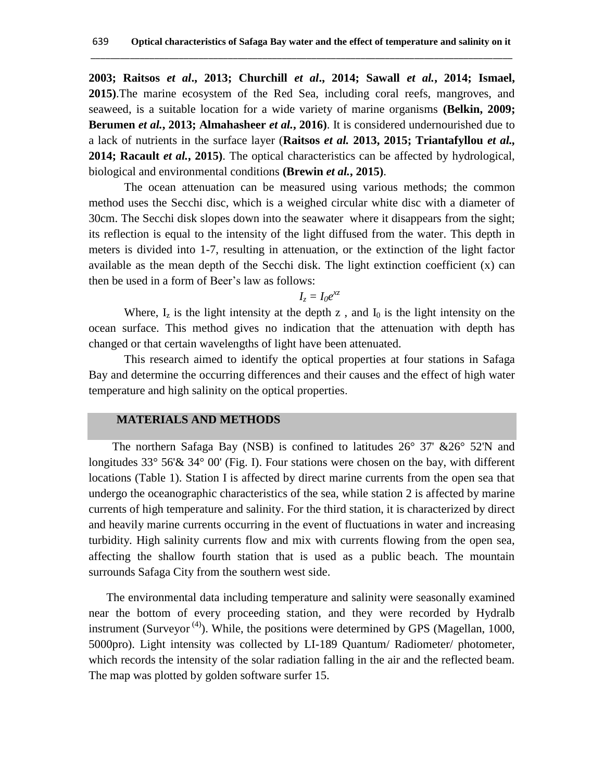**2003; Raitsos** *et al***., 2013; Churchill** *et al***., 2014; Sawall** *et al.***, 2014; Ismael, 2015)**.The marine ecosystem of the Red Sea, including coral reefs, mangroves, and seaweed, is a suitable location for a wide variety of marine organisms **(Belkin, 2009; Berumen** *et al.***, 2013; Almahasheer** *et al.***, 2016)**. It is considered undernourished due to a lack of nutrients in the surface layer (**Raitsos** *et al.* **2013, 2015; Triantafyllou** *et al.,* **2014; Racault** *et al.***, 2015)**. The optical characteristics can be affected by hydrological, biological and environmental conditions **(Brewin** *et al.***, 2015)**.

The ocean attenuation can be measured using various methods; the common method uses the Secchi disc, which is a weighed circular white disc with a diameter of 30cm. The Secchi disk slopes down into the seawater where it disappears from the sight; its reflection is equal to the intensity of the light diffused from the water. This depth in meters is divided into 1-7, resulting in attenuation, or the extinction of the light factor available as the mean depth of the Secchi disk. The light extinction coefficient (x) can then be used in a form of [Beer's law](https://www.britannica.com/science/Beers-law) as follows:

 $I_z = I_0 e^{xz}$ 

Where,  $I_z$  is the light intensity at the depth z, and  $I_0$  is the light intensity on the ocean surface. This method gives no indication that the attenuation with depth has changed or that certain wavelengths of light have been attenuated.

This research aimed to identify the optical properties at four stations in Safaga Bay and determine the occurring differences and their causes and the effect of high water temperature and high salinity on the optical properties.

## **MATERIALS AND METHODS**

 The northern Safaga Bay (NSB) is confined to latitudes 26° 37' &26° 52'N and longitudes 33° 56'& 34° 00' (Fig. I). Four stations were chosen on the bay, with different locations (Table 1). Station I is affected by direct marine currents from the open sea that undergo the oceanographic characteristics of the sea, while station 2 is affected by marine currents of high temperature and salinity. For the third station, it is characterized by direct and heavily marine currents occurring in the event of fluctuations in water and increasing turbidity. High salinity currents flow and mix with currents flowing from the open sea, affecting the shallow fourth station that is used as a public beach. The mountain surrounds Safaga City from the southern west side.

 The environmental data including temperature and salinity were seasonally examined near the bottom of every proceeding station, and they were recorded by Hydralb instrument (Surveyor<sup> $(4)$ </sup>). While, the positions were determined by GPS (Magellan, 1000, 5000pro). Light intensity was collected by LI-189 Quantum/ Radiometer/ photometer, which records the intensity of the solar radiation falling in the air and the reflected beam. The map was plotted by golden software surfer 15.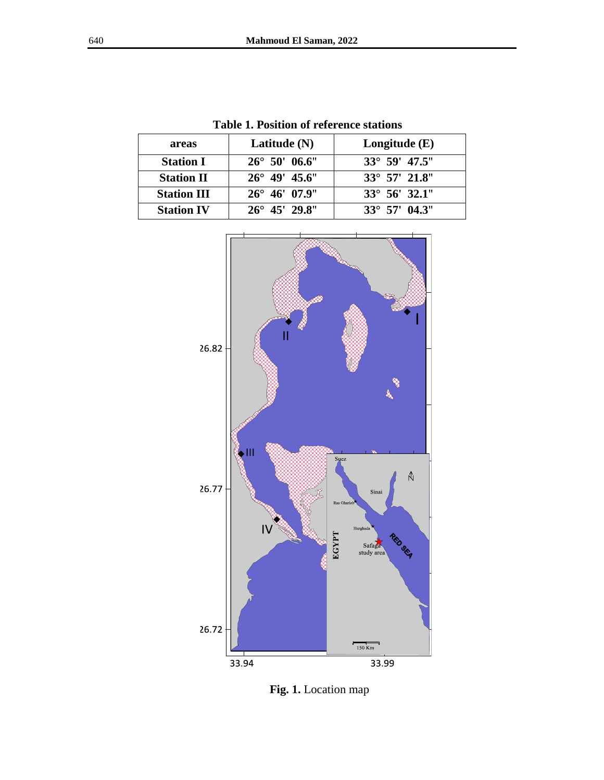| areas              | Latitude $(N)$         | Longitude $(E)$                 |  |
|--------------------|------------------------|---------------------------------|--|
| <b>Station I</b>   | $26^{\circ}$ 50' 06.6" | $33^{\circ}$ 59' 47.5"          |  |
| <b>Station II</b>  | $26^{\circ}$ 49' 45.6" | $33^{\circ}$ 57' 21.8"          |  |
| <b>Station III</b> | $26^{\circ}$ 46' 07.9" | $33^{\circ}$ 56' $32.1^{\circ}$ |  |
| <b>Station IV</b>  | $26^{\circ}$ 45' 29.8" | $33^{\circ}$ 57' 04.3"          |  |

**Table 1. Position of reference stations**



**Fig. 1.** Location map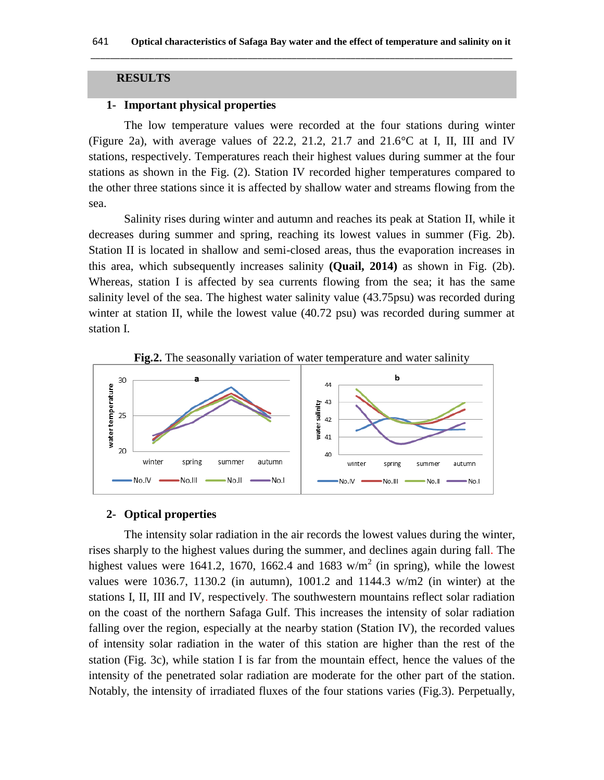## **RESULTS**

# **1- Important physical properties**

The low temperature values were recorded at the four stations during winter (Figure 2a), with average values of 22.2, 21.2, 21.7 and  $21.6^{\circ}$ C at I, II, III and IV stations, respectively. Temperatures reach their highest values during summer at the four stations as shown in the Fig. (2). Station IV recorded higher temperatures compared to the other three stations since it is affected by shallow water and streams flowing from the sea.

Salinity rises during winter and autumn and reaches its peak at Station II, while it decreases during summer and spring, reaching its lowest values in summer (Fig. 2b). Station II is located in shallow and semi-closed areas, thus the evaporation increases in this area, which subsequently increases salinity **(Quail, 2014)** as shown in Fig. (2b). Whereas, station I is affected by sea currents flowing from the sea; it has the same salinity level of the sea. The highest water salinity value (43.75psu) was recorded during winter at station II, while the lowest value (40.72 psu) was recorded during summer at station I.



**Fig.2.** The seasonally variation of water temperature and water salinity

#### **2- Optical properties**

The intensity solar radiation in the air records the lowest values during the winter, rises sharply to the highest values during the summer, and declines again during fall. The highest values were 1641.2, 1670, 1662.4 and 1683 w/m<sup>2</sup> (in spring), while the lowest values were 1036.7, 1130.2 (in autumn), 1001.2 and 1144.3 w/m2 (in winter) at the stations I, II, III and IV, respectively. The southwestern mountains reflect solar radiation on the coast of the northern Safaga Gulf. This increases the intensity of solar radiation falling over the region, especially at the nearby station (Station IV), the recorded values of intensity solar radiation in the water of this station are higher than the rest of the station (Fig. 3c), while station I is far from the mountain effect, hence the values of the intensity of the penetrated solar radiation are moderate for the other part of the station. Notably, the intensity of irradiated fluxes of the four stations varies (Fig.3). Perpetually,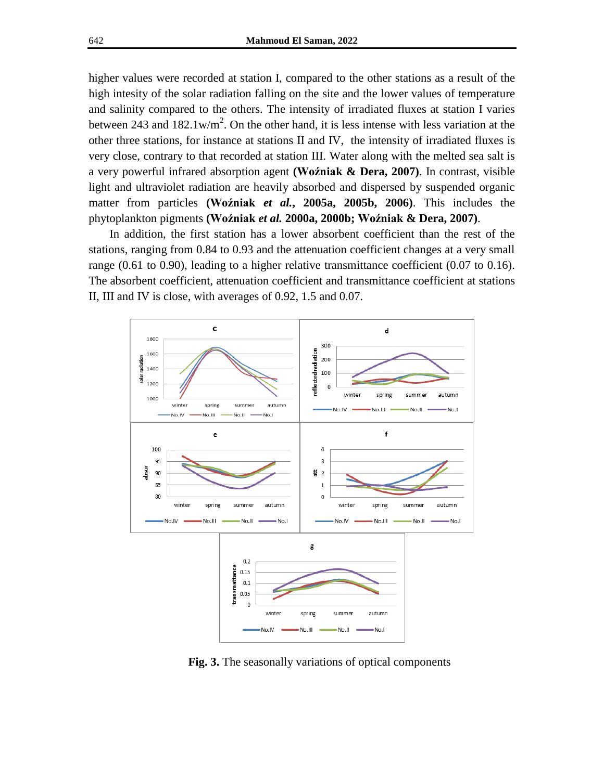higher values were recorded at station I, compared to the other stations as a result of the high intesity of the solar radiation falling on the site and the lower values of temperature and salinity compared to the others. The intensity of irradiated fluxes at station I varies between 243 and  $182.1 \text{w/m}^2$ . On the other hand, it is less intense with less variation at the other three stations, for instance at stations II and IV, the intensity of irradiated fluxes is very close, contrary to that recorded at station III. Water along with the melted sea salt is a very powerful infrared absorption agent **(Woźniak & Dera, 2007)**. In contrast, visible light and ultraviolet radiation are heavily absorbed and dispersed by suspended organic matter from particles **(Woźniak** *et al.***, 2005a, 2005b, 2006)**. This includes the phytoplankton pigments **(Woźniak** *et al.* **2000a, 2000b; Woźniak & Dera, 2007)**.

In addition, the first station has a lower absorbent coefficient than the rest of the stations, ranging from 0.84 to 0.93 and the attenuation coefficient changes at a very small range (0.61 to 0.90), leading to a higher relative transmittance coefficient (0.07 to 0.16). The absorbent coefficient, attenuation coefficient and transmittance coefficient at stations II, III and IV is close, with averages of 0.92, 1.5 and 0.07.



**Fig. 3.** The seasonally variations of optical components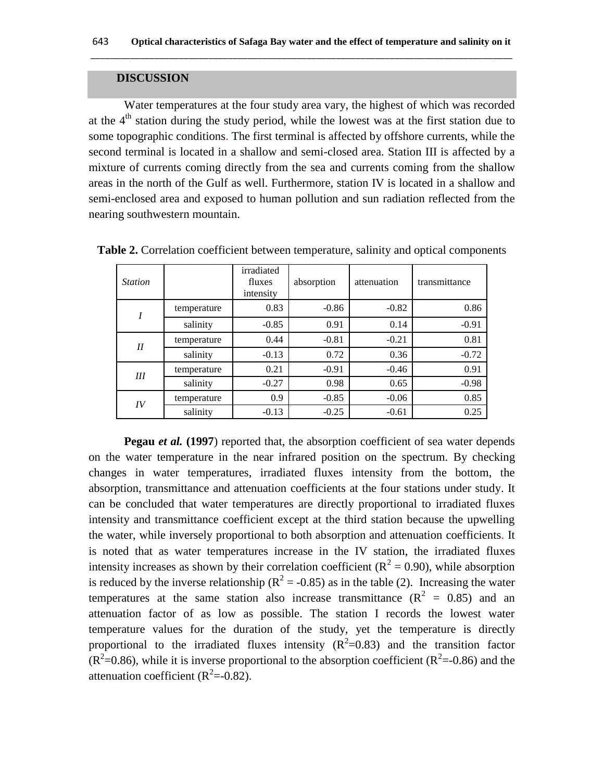## **DISCUSSION**

Water temperatures at the four study area vary, the highest of which was recorded at the  $4<sup>th</sup>$  station during the study period, while the lowest was at the first station due to some topographic conditions. The first terminal is affected by offshore currents, while the second terminal is located in a shallow and semi-closed area. Station III is affected by a mixture of currents coming directly from the sea and currents coming from the shallow areas in the north of the Gulf as well. Furthermore, station IV is located in a shallow and semi-enclosed area and exposed to human pollution and sun radiation reflected from the nearing southwestern mountain.

| <b>Station</b> |             | irradiated<br>fluxes<br>intensity | absorption | attenuation | transmittance |
|----------------|-------------|-----------------------------------|------------|-------------|---------------|
| I              | temperature | 0.83                              | $-0.86$    | $-0.82$     | 0.86          |
|                | salinity    | $-0.85$                           | 0.91       | 0.14        | $-0.91$       |
| II             | temperature | 0.44                              | $-0.81$    | $-0.21$     | 0.81          |
|                | salinity    | $-0.13$                           | 0.72       | 0.36        | $-0.72$       |
| Ш              | temperature | 0.21                              | $-0.91$    | $-0.46$     | 0.91          |
|                | salinity    | $-0.27$                           | 0.98       | 0.65        | $-0.98$       |
| IV             | temperature | 0.9                               | $-0.85$    | $-0.06$     | 0.85          |
|                | salinity    | $-0.13$                           | $-0.25$    | $-0.61$     | 0.25          |

**Table 2.** Correlation coefficient between temperature, salinity and optical components

**Pegau** *et al.* (1997) reported that, the absorption coefficient of sea water depends on the water temperature in the near infrared position on the spectrum. By checking changes in water temperatures, irradiated fluxes intensity from the bottom, the absorption, transmittance and attenuation coefficients at the four stations under study. It can be concluded that water temperatures are directly proportional to irradiated fluxes intensity and transmittance coefficient except at the third station because the upwelling the water, while inversely proportional to both absorption and attenuation coefficients. It is noted that as water temperatures increase in the IV station, the irradiated fluxes intensity increases as shown by their correlation coefficient ( $\mathbb{R}^2 = 0.90$ ), while absorption is reduced by the inverse relationship ( $R^2 = -0.85$ ) as in the table (2). Increasing the water temperatures at the same station also increase transmittance  $(R^2 = 0.85)$  and an attenuation factor of as low as possible. The station I records the lowest water temperature values for the duration of the study, yet the temperature is directly proportional to the irradiated fluxes intensity  $(R^2=0.83)$  and the transition factor  $(R^2=0.86)$ , while it is inverse proportional to the absorption coefficient  $(R^2=0.86)$  and the attenuation coefficient ( $R^2$ =-0.82).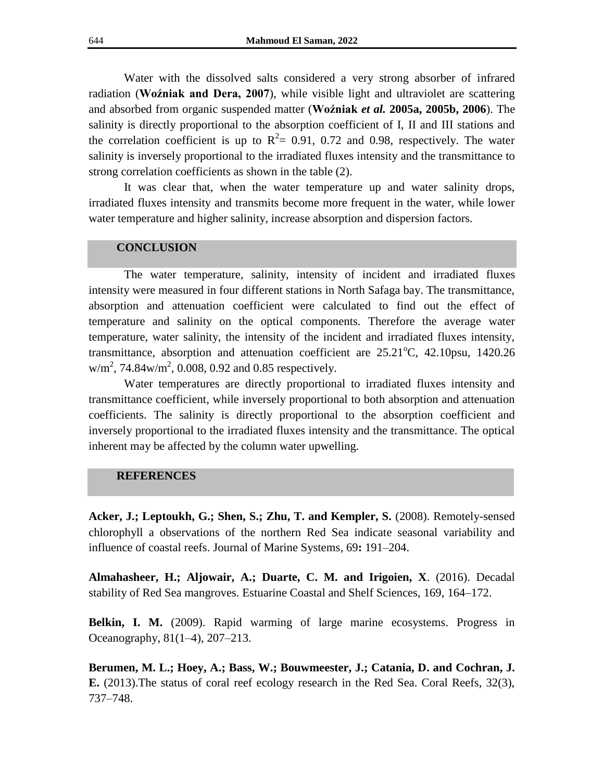Water with the dissolved salts considered a very strong absorber of infrared radiation (**Woźniak and Dera, 2007**), while visible light and ultraviolet are scattering and absorbed from organic suspended matter (**Woźniak** *et al.* **2005a, 2005b, 2006**). The salinity is directly proportional to the absorption coefficient of I, II and III stations and the correlation coefficient is up to  $R^2 = 0.91$ , 0.72 and 0.98, respectively. The water salinity is inversely proportional to the irradiated fluxes intensity and the transmittance to strong correlation coefficients as shown in the table (2).

It was clear that, when the water temperature up and water salinity drops, irradiated fluxes intensity and transmits become more frequent in the water, while lower water temperature and higher salinity, increase absorption and dispersion factors.

#### **CONCLUSION**

The water temperature, salinity, intensity of incident and irradiated fluxes intensity were measured in four different stations in North Safaga bay. The transmittance, absorption and attenuation coefficient were calculated to find out the effect of temperature and salinity on the optical components. Therefore the average water temperature, water salinity, the intensity of the incident and irradiated fluxes intensity, transmittance, absorption and attenuation coefficient are  $25.21^{\circ}$ C,  $42.10$ psu,  $1420.26$  $w/m^2$ , 74.84 $w/m^2$ , 0.008, 0.92 and 0.85 respectively.

Water temperatures are directly proportional to irradiated fluxes intensity and transmittance coefficient, while inversely proportional to both absorption and attenuation coefficients. The salinity is directly proportional to the absorption coefficient and inversely proportional to the irradiated fluxes intensity and the transmittance. The optical inherent may be affected by the column water upwelling.

#### **REFERENCES**

**Acker, J.; Leptoukh, G.; Shen, S.; Zhu, T. and Kempler, S.** (2008). Remotely-sensed chlorophyll a observations of the northern Red Sea indicate seasonal variability and influence of coastal reefs. Journal of Marine Systems, 69**:** 191–204.

**Almahasheer, H.; Aljowair, A.; Duarte, C. M. and Irigoien, X**. (2016). Decadal stability of Red Sea mangroves. Estuarine Coastal and Shelf Sciences, 169, 164–172.

**Belkin, I. M.** (2009). Rapid warming of large marine ecosystems. Progress in Oceanography, 81(1–4), 207–213.

**Berumen, M. L.; Hoey, A.; Bass, W.; Bouwmeester, J.; Catania, D. and Cochran, J. E.** (2013).The status of coral reef ecology research in the Red Sea. Coral Reefs, 32(3), 737–748.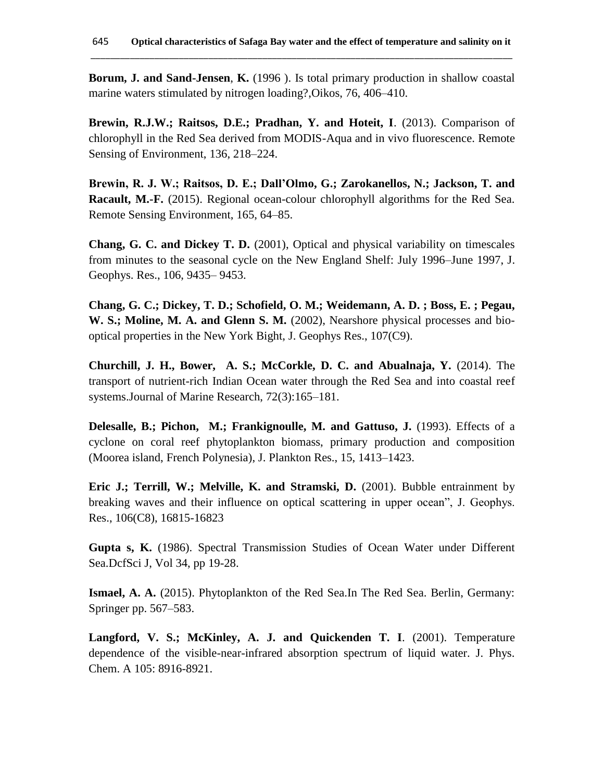**Borum, J. and Sand-Jensen**, **K.** (1996 ). Is total primary production in shallow coastal marine waters stimulated by nitrogen loading?,Oikos, 76, 406–410.

**Brewin, R.J.W.; Raitsos, D.E.; Pradhan, Y. and Hoteit, I**. (2013). Comparison of chlorophyll in the Red Sea derived from MODIS-Aqua and in vivo fluorescence. Remote Sensing of Environment, 136, 218–224.

**Brewin, R. J. W.; Raitsos, D. E.; Dall'Olmo, G.; Zarokanellos, N.; Jackson, T. and Racault, M.-F.** (2015). Regional ocean-colour chlorophyll algorithms for the Red Sea. Remote Sensing Environment, 165, 64–85.

**Chang, G. C. and Dickey T. D.** (2001), Optical and physical variability on timescales from minutes to the seasonal cycle on the New England Shelf: July 1996–June 1997, J. Geophys. Res., 106, 9435– 9453.

**Chang, G. C.; Dickey, T. D.; Schofield, O. M.; Weidemann, A. D. ; Boss, E. ; Pegau, W. S.; Moline, M. A. and Glenn S. M.** (2002), Nearshore physical processes and biooptical properties in the New York Bight, J. Geophys Res., 107(C9).

**Churchill, J. H., Bower, A. S.; McCorkle, D. C. and Abualnaja, Y.** (2014). The transport of nutrient-rich Indian Ocean water through the Red Sea and into coastal reef systems.Journal of Marine Research, 72(3):165–181.

**Delesalle, B.; Pichon, M.; Frankignoulle, M. and Gattuso, J.** (1993). Effects of a cyclone on coral reef phytoplankton biomass, primary production and composition (Moorea island, French Polynesia), J. Plankton Res., 15, 1413–1423.

**Eric J.; Terrill, W.; Melville, K. and Stramski, D.** (2001). Bubble entrainment by breaking waves and their influence on optical scattering in upper ocean", J. Geophys. Res., 106(C8), 16815-16823

**Gupta s, K.** (1986). Spectral Transmission Studies of Ocean Water under Different Sea.DcfSci J, Vol 34, pp 19-28.

**Ismael, A. A.** (2015). Phytoplankton of the Red Sea.In The Red Sea. Berlin, Germany: Springer pp. 567–583.

**Langford, V. S.; McKinley, A. J. and Quickenden T. I**. (2001). Temperature dependence of the visible-near-infrared absorption spectrum of liquid water. J. Phys. Chem. A 105: 8916-8921.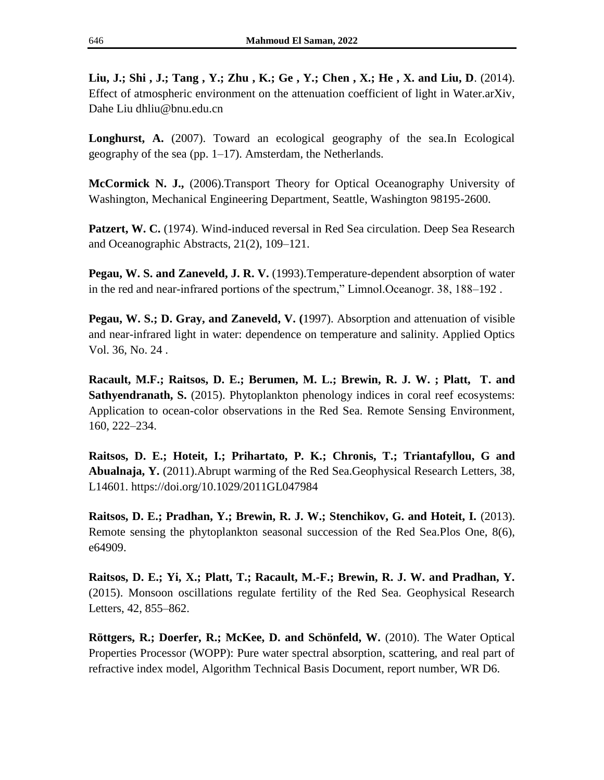**Liu, J.; Shi , J.; Tang , Y.; Zhu , K.; Ge , Y.; Chen , X.; He , X. and Liu, D**. (2014). Effect of atmospheric environment on the attenuation coefficient of light in Water.arXiv, Dahe Liu dhliu@bnu.edu.cn

**Longhurst, A.** (2007). Toward an ecological geography of the sea.In Ecological geography of the sea (pp. 1–17). Amsterdam, the Netherlands.

**McCormick N. J.,** (2006).Transport Theory for Optical Oceanography University of Washington, Mechanical Engineering Department, Seattle, Washington 98195-2600.

**Patzert, W. C.** (1974). Wind-induced reversal in Red Sea circulation. Deep Sea Research and Oceanographic Abstracts, 21(2), 109–121.

**Pegau, W. S. and Zaneveld, J. R. V.** (1993).Temperature-dependent absorption of water in the red and near-infrared portions of the spectrum," Limnol.Oceanogr. 38, 188–192 .

**Pegau, W. S.; D. Gray, and Zaneveld, V. (**1997). Absorption and attenuation of visible and near-infrared light in water: dependence on temperature and salinity. Applied Optics Vol. 36, No. 24 .

**Racault, M.F.; Raitsos, D. E.; Berumen, M. L.; Brewin, R. J. W. ; Platt, T. and Sathyendranath, S.** (2015). Phytoplankton phenology indices in coral reef ecosystems: Application to ocean-color observations in the Red Sea. Remote Sensing Environment, 160, 222–234.

**Raitsos, D. E.; Hoteit, I.; Prihartato, P. K.; Chronis, T.; Triantafyllou, G and Abualnaja, Y.** (2011).Abrupt warming of the Red Sea.Geophysical Research Letters, 38, L14601. https://doi.org/10.1029/2011GL047984

**Raitsos, D. E.; Pradhan, Y.; Brewin, R. J. W.; Stenchikov, G. and Hoteit, I.** (2013). Remote sensing the phytoplankton seasonal succession of the Red Sea.Plos One, 8(6), e64909.

**Raitsos, D. E.; Yi, X.; Platt, T.; Racault, M.-F.; Brewin, R. J. W. and Pradhan, Y.**  (2015). Monsoon oscillations regulate fertility of the Red Sea. Geophysical Research Letters, 42, 855–862.

**Röttgers, R.; Doerfer, R.; McKee, D. and Schönfeld, W.** (2010). The Water Optical Properties Processor (WOPP): Pure water spectral absorption, scattering, and real part of refractive index model, Algorithm Technical Basis Document, report number, WR D6.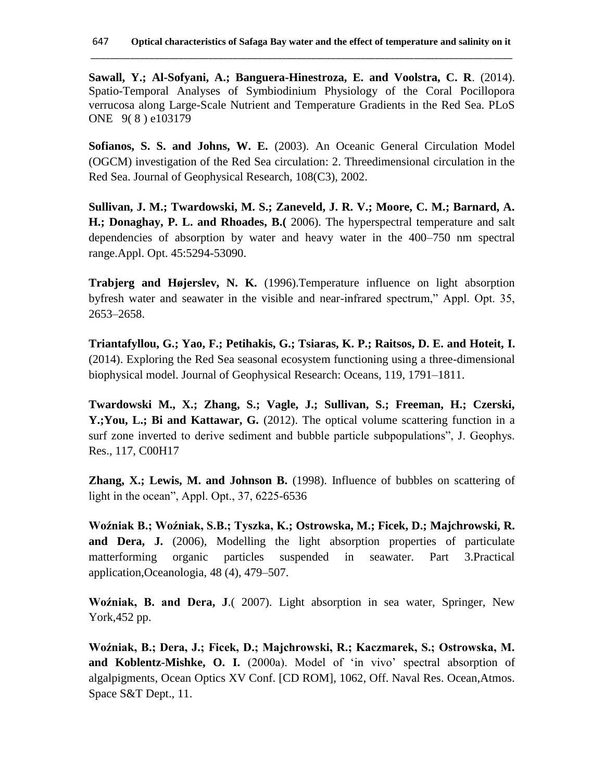**Sawall, Y.; Al-Sofyani, A.; Banguera-Hinestroza, E. and Voolstra, C. R**. (2014). Spatio-Temporal Analyses of Symbiodinium Physiology of the Coral Pocillopora verrucosa along Large-Scale Nutrient and Temperature Gradients in the Red Sea. PLoS ONE 9( 8 ) e103179

**Sofianos, S. S. and Johns, W. E.** (2003). An Oceanic General Circulation Model (OGCM) investigation of the Red Sea circulation: 2. Threedimensional circulation in the Red Sea. Journal of Geophysical Research, 108(C3), 2002.

**Sullivan, J. M.; Twardowski, M. S.; Zaneveld, J. R. V.; Moore, C. M.; Barnard, A. H.; Donaghay, P. L. and Rhoades, B.(** 2006). The hyperspectral temperature and salt dependencies of absorption by water and heavy water in the 400–750 nm spectral range.Appl. Opt. 45:5294-53090.

**Trabjerg and Højerslev, N. K.** (1996).Temperature influence on light absorption byfresh water and seawater in the visible and near-infrared spectrum," Appl. Opt. 35, 2653–2658.

**Triantafyllou, G.; Yao, F.; Petihakis, G.; Tsiaras, K. P.; Raitsos, D. E. and Hoteit, I.** (2014). Exploring the Red Sea seasonal ecosystem functioning using a three-dimensional biophysical model. Journal of Geophysical Research: Oceans, 119, 1791–1811.

**Twardowski M., X.; Zhang, S.; Vagle, J.; Sullivan, S.; Freeman, H.; Czerski,**  Y.;You, L.; Bi and Kattawar, G. (2012). The optical volume scattering function in a surf zone inverted to derive sediment and bubble particle subpopulations", J. Geophys. Res., 117, C00H17

**Zhang, X.; Lewis, M. and Johnson B.** (1998). Influence of bubbles on scattering of light in the ocean", Appl. Opt., 37, 6225-6536

**Woźniak B.; Woźniak, S.B.; Tyszka, K.; Ostrowska, M.; Ficek, D.; Majchrowski, R.**  and Dera, J. (2006), Modelling the light absorption properties of particulate matterforming organic particles suspended in seawater. Part 3.Practical application,Oceanologia, 48 (4), 479–507.

**Woźniak, B. and Dera, J**.( 2007). Light absorption in sea water, Springer, New York,452 pp.

**Woźniak, B.; Dera, J.; Ficek, D.; Majchrowski, R.; Kaczmarek, S.; Ostrowska, M. and Koblentz-Mishke, O. I.** (2000a). Model of 'in vivo' spectral absorption of algalpigments, Ocean Optics XV Conf. [CD ROM], 1062, Off. Naval Res. Ocean,Atmos. Space S&T Dept., 11.